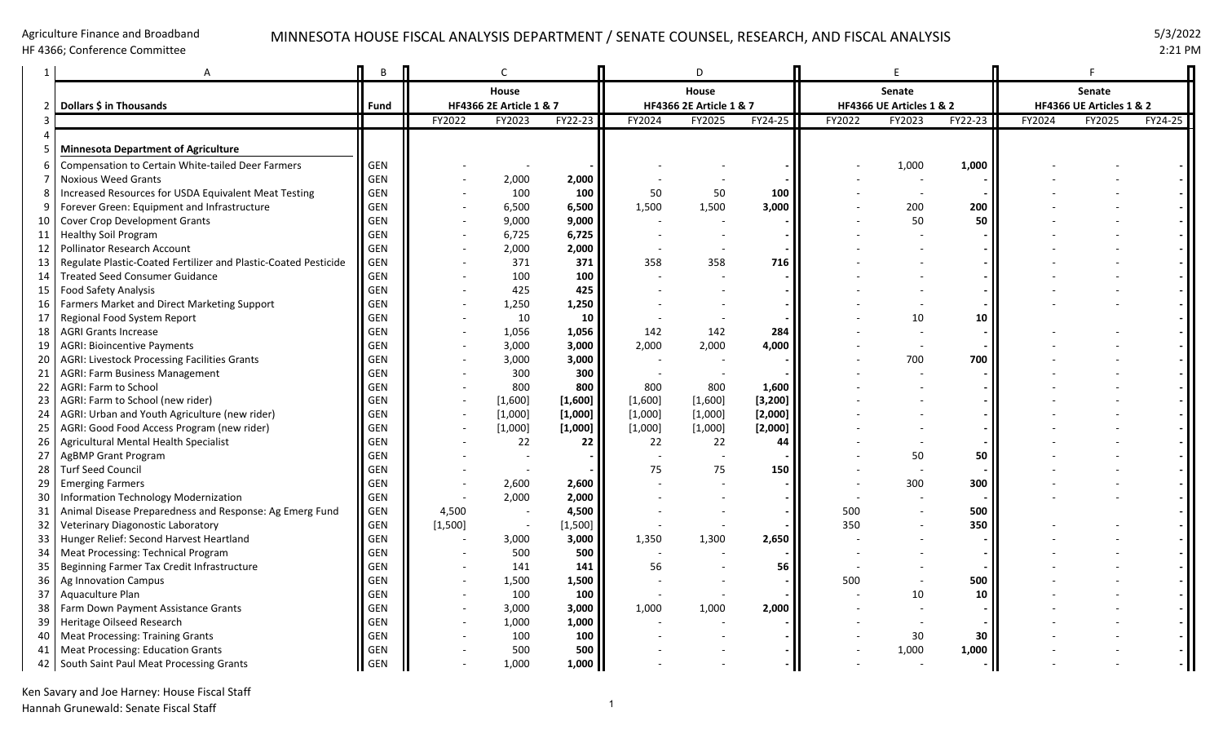#### Agriculture Finance and Broadband

HF 4366; Conference Committee

### MINNESOTA HOUSE FISCAL ANALYSIS DEPARTMENT / SENATE COUNSEL, RESEARCH, AND FISCAL ANALYSIS 5/3/2022

2:21 PM

|                 |                                                                 | B          |                                  | C                        |         |         | D                                           |          |        |                                           |         |                                    |        |         |  |
|-----------------|-----------------------------------------------------------------|------------|----------------------------------|--------------------------|---------|---------|---------------------------------------------|----------|--------|-------------------------------------------|---------|------------------------------------|--------|---------|--|
|                 | Dollars \$ in Thousands                                         | Fund       | House<br>HF4366 2E Article 1 & 7 |                          |         |         | House<br><b>HF4366 2E Article 1 &amp; 7</b> |          |        | <b>Senate</b><br>HF4366 UE Articles 1 & 2 |         | Senate<br>HF4366 UE Articles 1 & 2 |        |         |  |
|                 |                                                                 |            | FY2022                           | FY2023                   | FY22-23 | FY2024  | FY2025                                      | FY24-25  | FY2022 | FY2023                                    | FY22-23 | FY2024                             | FY2025 | FY24-25 |  |
|                 | <b>Minnesota Department of Agriculture</b>                      |            |                                  |                          |         |         |                                             |          |        |                                           |         |                                    |        |         |  |
|                 | <b>Compensation to Certain White-tailed Deer Farmers</b>        | GEN        |                                  |                          |         |         |                                             |          |        | 1,000                                     | 1,000   |                                    |        |         |  |
|                 | <b>Noxious Weed Grants</b>                                      | GEN        |                                  | 2,000                    | 2,000   |         |                                             |          |        |                                           |         |                                    |        |         |  |
|                 | Increased Resources for USDA Equivalent Meat Testing            | GEN        |                                  | 100                      | 100     | 50      | 50                                          | 100      |        |                                           |         |                                    |        |         |  |
|                 | Forever Green: Equipment and Infrastructure                     | GEN        |                                  | 6,500                    | 6,500   | 1,500   | 1,500                                       | 3,000    |        | 200                                       | 200     |                                    |        |         |  |
| 10              | Cover Crop Development Grants                                   | GEN        |                                  | 9,000                    | 9,000   |         |                                             |          |        | 50                                        | 50      |                                    |        |         |  |
| 11              | <b>Healthy Soil Program</b>                                     | <b>GEN</b> |                                  | 6,725                    | 6,725   |         |                                             |          |        |                                           |         |                                    |        |         |  |
| 12 <sub>1</sub> | Pollinator Research Account                                     | GEN        |                                  | 2,000                    | 2,000   |         |                                             |          |        |                                           |         |                                    |        |         |  |
| 13 <sup>1</sup> | Regulate Plastic-Coated Fertilizer and Plastic-Coated Pesticide | GEN        |                                  | 371                      | 371     | 358     | 358                                         | 716      |        |                                           |         |                                    |        |         |  |
| 14              | <b>Treated Seed Consumer Guidance</b>                           | GEN        |                                  | 100                      | 100     |         |                                             |          |        |                                           |         |                                    |        |         |  |
| 15              | Food Safety Analysis                                            | <b>GEN</b> |                                  | 425                      | 425     |         |                                             |          |        |                                           |         |                                    |        |         |  |
| 16 I            | Farmers Market and Direct Marketing Support                     | GEN        |                                  | 1,250                    | 1,250   |         |                                             |          |        |                                           |         |                                    |        |         |  |
| 17              | Regional Food System Report                                     | GEN        |                                  | 10                       | 10      |         |                                             |          |        | 10                                        | 10      |                                    |        |         |  |
| 18 <sup>1</sup> | <b>AGRI Grants Increase</b>                                     | <b>GEN</b> |                                  | 1,056                    | 1,056   | 142     | 142                                         | 284      |        |                                           |         |                                    |        |         |  |
| 19              | AGRI: Bioincentive Payments                                     | <b>GEN</b> |                                  | 3,000                    | 3,000   | 2,000   | 2,000                                       | 4,000    |        |                                           |         |                                    |        |         |  |
| 20              | AGRI: Livestock Processing Facilities Grants                    | <b>GEN</b> |                                  | 3,000                    | 3,000   |         |                                             |          |        | 700                                       | 700     |                                    |        |         |  |
| 21              | AGRI: Farm Business Management                                  | GEN        |                                  | 300                      | 300     |         |                                             |          |        |                                           |         |                                    |        |         |  |
| 22 <sub>1</sub> | AGRI: Farm to School                                            | GEN        |                                  | 800                      | 800     | 800     | 800                                         | 1,600    |        |                                           |         |                                    |        |         |  |
| 23              | AGRI: Farm to School (new rider)                                | GEN        |                                  | [1,600]                  | [1,600] | [1,600] | [1,600]                                     | [3, 200] |        |                                           |         |                                    |        |         |  |
| 24              | AGRI: Urban and Youth Agriculture (new rider)                   | <b>GEN</b> |                                  | [1,000]                  | [1,000] | [1,000] | [1,000]                                     | [2,000]  |        |                                           |         |                                    |        |         |  |
| 25 <sub>1</sub> | AGRI: Good Food Access Program (new rider)                      | <b>GEN</b> |                                  | [1,000]                  | [1,000] | [1,000] | [1,000]                                     | [2,000]  |        |                                           |         |                                    |        |         |  |
| 26 <sub>1</sub> | Agricultural Mental Health Specialist                           | GEN        |                                  | 22                       | 22      | 22      | 22                                          | 44       |        |                                           |         |                                    |        |         |  |
| 27              | AgBMP Grant Program                                             | GEN        |                                  |                          |         |         |                                             |          |        | 50                                        | 50      |                                    |        |         |  |
| 28              | <b>Turf Seed Council</b>                                        | GEN        |                                  |                          |         | 75      | 75                                          | 150      |        |                                           |         |                                    |        |         |  |
| 29              | <b>Emerging Farmers</b>                                         | <b>GEN</b> |                                  | 2,600                    | 2,600   |         |                                             |          |        | 300                                       | 300     |                                    |        |         |  |
| 30              | Information Technology Modernization                            | GEN        |                                  | 2,000                    | 2,000   |         |                                             |          |        |                                           |         |                                    |        |         |  |
| 31              | Animal Disease Preparedness and Response: Ag Emerg Fund         | GEN        | 4,500                            |                          | 4,500   |         |                                             |          | 500    |                                           | 500     |                                    |        |         |  |
| 32 <sub>1</sub> | Veterinary Diagonostic Laboratory                               | GEN        | [1,500]                          | $\overline{\phantom{a}}$ | [1,500] |         |                                             |          | 350    |                                           | 350     |                                    |        |         |  |
|                 | 33   Hunger Relief: Second Harvest Heartland                    | GEN        |                                  | 3,000                    | 3,000   | 1,350   | 1,300                                       | 2,650    |        |                                           |         |                                    |        |         |  |
| 34 I            | Meat Processing: Technical Program                              | GEN        |                                  | 500                      | 500     |         |                                             |          |        |                                           |         |                                    |        |         |  |
| 35              | Beginning Farmer Tax Credit Infrastructure                      | GEN        |                                  | 141                      | 141     | 56      |                                             | 56       |        |                                           |         |                                    |        |         |  |
| 36              | Ag Innovation Campus                                            | GEN        |                                  | 1,500                    | 1,500   |         |                                             |          | 500    |                                           | 500     |                                    |        |         |  |
| 37              | Aquaculture Plan                                                | GEN        |                                  | 100                      | 100     |         |                                             |          |        | 10                                        | 10      |                                    |        |         |  |
| 38 I            | Farm Down Payment Assistance Grants                             | <b>GEN</b> |                                  | 3,000                    | 3,000   | 1,000   | 1,000                                       | 2,000    |        |                                           |         |                                    |        |         |  |
| 39              | Heritage Oilseed Research                                       | <b>GEN</b> |                                  | 1,000                    | 1,000   |         |                                             |          |        |                                           |         |                                    |        |         |  |
| 40              | <b>Meat Processing: Training Grants</b>                         | GEN        |                                  | 100                      | 100     |         |                                             |          |        | 30                                        | 30      |                                    |        |         |  |
| 41              | <b>Meat Processing: Education Grants</b>                        | GEN        |                                  | 500                      | 500     |         |                                             |          |        | 1,000                                     | 1,000   |                                    |        |         |  |
|                 | 42 South Saint Paul Meat Processing Grants                      | II GEN     |                                  | 1,000                    | 1,000   |         |                                             |          |        |                                           |         |                                    |        |         |  |

Ken Savary and Joe Harney: House Fiscal Staff Hannah Grunewald: Senate Fiscal Staff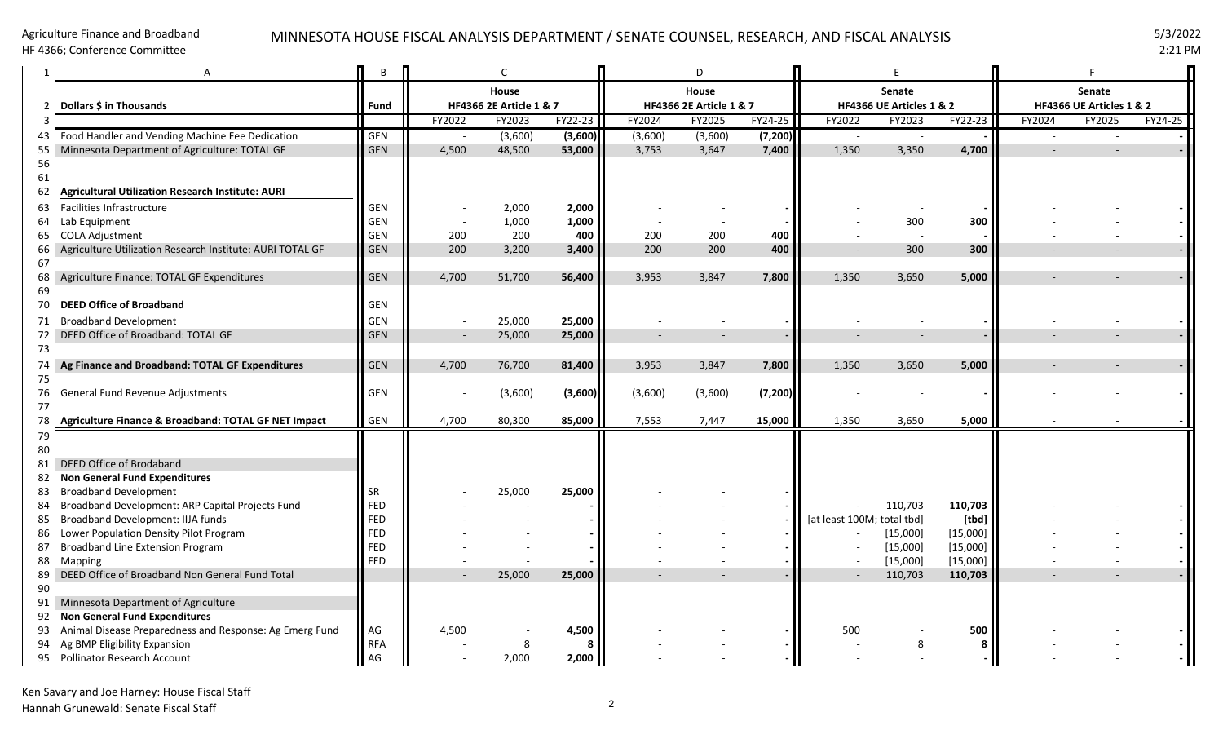#### Agriculture Finance and Broadband

HF 4366; Conference Committee

# MINNESOTA HOUSE FISCAL ANALYSIS DEPARTMENT / SENATE COUNSEL, RESEARCH, AND FISCAL ANALYSIS 5/3/2022

2:21 PM

|          |                                                                                  | B                        |        | C                       |              |                          | D                        |          |                            |                                 |          |                          |                          |         |  |
|----------|----------------------------------------------------------------------------------|--------------------------|--------|-------------------------|--------------|--------------------------|--------------------------|----------|----------------------------|---------------------------------|----------|--------------------------|--------------------------|---------|--|
|          |                                                                                  |                          |        | House                   |              |                          | House                    |          |                            | Senate                          |          | Senate                   |                          |         |  |
| 2        | Dollars \$ in Thousands                                                          | <b>Fund</b>              |        | HF4366 2E Article 1 & 7 |              |                          | HF4366 2E Article 1 & 7  |          |                            | HF4366 UE Articles 1 & 2        |          |                          | HF4366 UE Articles 1 & 2 |         |  |
| 3        |                                                                                  |                          | FY2022 | FY2023                  | FY22-23      | FY2024                   | FY2025                   | FY24-25  | FY2022                     | FY2023                          | FY22-23  | FY2024                   | FY2025                   | FY24-25 |  |
| 43       | Food Handler and Vending Machine Fee Dedication                                  | <b>GEN</b>               |        | (3,600)                 | (3,600)      | (3,600)                  | (3,600)                  | (7, 200) | $\overline{\phantom{a}}$   | $\overline{\phantom{a}}$        |          | $\overline{\phantom{a}}$ | $\overline{\phantom{a}}$ |         |  |
| 55       | Minnesota Department of Agriculture: TOTAL GF                                    | <b>GEN</b>               | 4.500  | 48,500                  | 53,000       | 3,753                    | 3,647                    | 7,400    | 1,350                      | 3,350                           | 4,700    |                          |                          |         |  |
| 56       |                                                                                  |                          |        |                         |              |                          |                          |          |                            |                                 |          |                          |                          |         |  |
| 61<br>62 | <b>Agricultural Utilization Research Institute: AURI</b>                         |                          |        |                         |              |                          |                          |          |                            |                                 |          |                          |                          |         |  |
|          |                                                                                  |                          |        |                         |              |                          |                          |          |                            |                                 |          |                          |                          |         |  |
| 63       | Facilities Infrastructure                                                        | <b>GEN</b>               |        | 2,000                   | 2,000        |                          |                          |          |                            |                                 |          |                          |                          |         |  |
| 64       | Lab Equipment<br><b>COLA Adjustment</b>                                          | <b>GEN</b><br><b>GEN</b> | 200    | 1,000<br>200            | 1,000<br>400 | 200                      | 200                      | 400      |                            | 300<br>$\overline{\phantom{a}}$ | 300      |                          |                          |         |  |
| 65       | Agriculture Utilization Research Institute: AURI TOTAL GF                        | GEN                      | 200    | 3,200                   | 3,400        | 200                      | 200                      | 400      |                            | 300                             | 300      |                          |                          |         |  |
| 66<br>67 |                                                                                  |                          |        |                         |              |                          |                          |          |                            |                                 |          |                          |                          |         |  |
| 68       | Agriculture Finance: TOTAL GF Expenditures                                       | GEN                      | 4,700  | 51,700                  | 56,400       | 3,953                    | 3,847                    | 7,800    | 1,350                      | 3,650                           | 5,000    | $\overline{\phantom{a}}$ |                          |         |  |
| 69       |                                                                                  |                          |        |                         |              |                          |                          |          |                            |                                 |          |                          |                          |         |  |
| 70       | <b>DEED Office of Broadband</b>                                                  | <b>GEN</b>               |        |                         |              |                          |                          |          |                            |                                 |          |                          |                          |         |  |
| 71       | <b>Broadband Development</b>                                                     | GEN                      |        | 25,000                  | 25,000       |                          |                          |          |                            |                                 |          |                          |                          |         |  |
| 72       | DEED Office of Broadband: TOTAL GF                                               | <b>GEN</b>               |        | 25,000                  | 25,000       | $\overline{\phantom{a}}$ | $\overline{\phantom{a}}$ |          |                            |                                 |          |                          |                          |         |  |
| 73       |                                                                                  |                          |        |                         |              |                          |                          |          |                            |                                 |          |                          |                          |         |  |
| 74       | Ag Finance and Broadband: TOTAL GF Expenditures                                  | <b>GEN</b>               | 4,700  | 76,700                  | 81,400       | 3,953                    | 3,847                    | 7,800    | 1,350                      | 3,650                           | 5,000    |                          |                          |         |  |
| 75       |                                                                                  |                          |        |                         |              |                          |                          |          |                            |                                 |          |                          |                          |         |  |
| 76       | General Fund Revenue Adjustments                                                 | <b>GEN</b>               |        | (3,600)                 | (3,600)      | (3,600)                  | (3,600)                  | (7, 200) |                            |                                 |          |                          |                          |         |  |
| 77       |                                                                                  |                          |        |                         |              |                          |                          |          |                            |                                 |          |                          |                          |         |  |
| 78       | Agriculture Finance & Broadband: TOTAL GF NET Impact                             | <b>GEN</b>               | 4,700  | 80,300                  | 85,000       | 7,553                    | 7,447                    | 15,000   | 1,350                      | 3,650                           | 5,000    |                          |                          |         |  |
| 79       |                                                                                  |                          |        |                         |              |                          |                          |          |                            |                                 |          |                          |                          |         |  |
| 80       |                                                                                  |                          |        |                         |              |                          |                          |          |                            |                                 |          |                          |                          |         |  |
| 81       | DEED Office of Brodaband                                                         |                          |        |                         |              |                          |                          |          |                            |                                 |          |                          |                          |         |  |
| 82       | Non General Fund Expenditures                                                    |                          |        |                         |              |                          |                          |          |                            |                                 |          |                          |                          |         |  |
| 83       | <b>Broadband Development</b><br>Broadband Development: ARP Capital Projects Fund | <b>SR</b><br>FED         |        | 25,000                  | 25,000       |                          |                          |          |                            | 110,703                         | 110,703  |                          |                          |         |  |
| 84<br>85 | Broadband Development: IIJA funds                                                | FED                      |        |                         |              |                          |                          |          | [at least 100M; total tbd] |                                 | [tbd]    |                          |                          |         |  |
| 86       | Lower Population Density Pilot Program                                           | FED                      |        |                         |              |                          |                          |          |                            | [15,000]                        | [15,000] |                          |                          |         |  |
| 87       | <b>Broadband Line Extension Program</b>                                          | FED                      |        |                         |              |                          |                          |          |                            | [15,000]                        | [15,000] |                          |                          |         |  |
| 88       | Mapping                                                                          | FED                      |        |                         |              |                          |                          |          |                            | [15,000]                        | [15,000] |                          |                          |         |  |
| 89       | DEED Office of Broadband Non General Fund Total                                  |                          |        | 25,000                  | 25,000       |                          |                          |          |                            | 110,703                         | 110,703  |                          |                          |         |  |
| 90       |                                                                                  |                          |        |                         |              |                          |                          |          |                            |                                 |          |                          |                          |         |  |
| 91       | Minnesota Department of Agriculture                                              |                          |        |                         |              |                          |                          |          |                            |                                 |          |                          |                          |         |  |
| 92       | Non General Fund Expenditures                                                    |                          |        |                         |              |                          |                          |          |                            |                                 |          |                          |                          |         |  |
| 93       | Animal Disease Preparedness and Response: Ag Emerg Fund                          | AG                       | 4,500  |                         | 4,500        |                          |                          |          | 500                        |                                 | 500      |                          |                          |         |  |
| 94       | Ag BMP Eligibility Expansion                                                     | <b>RFA</b>               |        |                         | 8            |                          |                          |          |                            |                                 |          |                          |                          |         |  |
|          | 95   Pollinator Research Account                                                 | $\prod$ AG               |        | 2,000                   | 2,000        |                          |                          |          |                            |                                 |          |                          |                          |         |  |

Ken Savary and Joe Harney: House Fiscal Staff Hannah Grunewald: Senate Fiscal Staff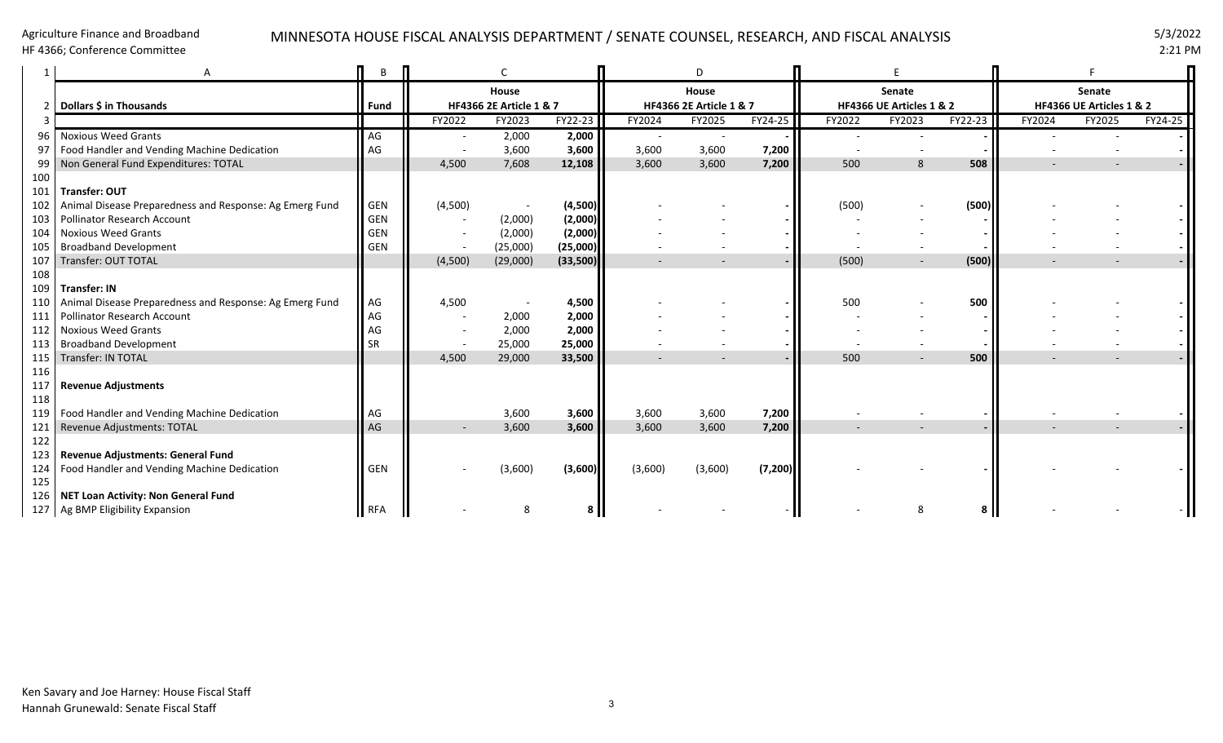### Agriculture Finance and Broadband

HF 4366; Conference Committee

## MINNESOTA HOUSE FISCAL ANALYSIS DEPARTMENT / SENATE COUNSEL, RESEARCH, AND FISCAL ANALYSIS 5/3/2022

2:21 PM

|     |                                                         | В          |         |                                    |          |         | D                                  |          |        |                          |         |                          |                |         |  |
|-----|---------------------------------------------------------|------------|---------|------------------------------------|----------|---------|------------------------------------|----------|--------|--------------------------|---------|--------------------------|----------------|---------|--|
|     |                                                         |            |         | House                              |          |         | House                              |          |        | Senate                   |         | Senate                   |                |         |  |
|     | Dollars \$ in Thousands                                 | Fund       |         | <b>HF4366 2E Article 1 &amp; 7</b> |          |         | <b>HF4366 2E Article 1 &amp; 7</b> |          |        | HF4366 UE Articles 1 & 2 |         | HF4366 UE Articles 1 & 2 |                |         |  |
|     |                                                         |            | FY2022  | FY2023                             | FY22-23  | FY2024  | FY2025                             | FY24-25  | FY2022 | FY2023                   | FY22-23 | FY2024                   | FY2025         | FY24-25 |  |
|     | <b>Noxious Weed Grants</b>                              | AG         |         | 2,000                              | 2,000    |         | $\overline{\phantom{a}}$           |          |        |                          |         |                          |                |         |  |
|     | Food Handler and Vending Machine Dedication             | AG         |         | 3,600                              | 3,600    | 3,600   | 3,600                              | 7,200    |        |                          |         |                          |                |         |  |
| 99  | Non General Fund Expenditures: TOTAL                    |            | 4,500   | 7,608                              | 12,108   | 3,600   | 3,600                              | 7,200    | 500    | $\mathbf{8}$             | 508     |                          |                |         |  |
| 100 |                                                         |            |         |                                    |          |         |                                    |          |        |                          |         |                          |                |         |  |
| 101 | Transfer: OUT                                           |            |         |                                    |          |         |                                    |          |        |                          |         |                          |                |         |  |
|     | Animal Disease Preparedness and Response: Ag Emerg Fund | <b>GEN</b> | (4,500) |                                    | (4,500)  |         |                                    |          | (500)  |                          | (500)   |                          |                |         |  |
| 103 | <b>Pollinator Research Account</b>                      | <b>GEN</b> |         | (2,000)                            | (2,000)  |         |                                    |          |        |                          |         |                          |                |         |  |
|     | <b>Noxious Weed Grants</b>                              | GEN        |         | (2,000)                            | (2,000)  |         |                                    |          |        |                          |         |                          |                |         |  |
|     | 105 Broadband Development                               | GEN        |         | (25,000)                           | (25,000) |         |                                    |          |        |                          |         |                          |                |         |  |
| 107 | Transfer: OUT TOTAL                                     |            | (4,500) | (29,000)                           | (33,500) |         |                                    |          | (500)  |                          | (500)   |                          |                |         |  |
| 108 |                                                         |            |         |                                    |          |         |                                    |          |        |                          |         |                          |                |         |  |
| 109 | <b>Transfer: IN</b>                                     |            |         |                                    |          |         |                                    |          |        |                          |         |                          |                |         |  |
| 110 | Animal Disease Preparedness and Response: Ag Emerg Fund | AG         | 4,500   |                                    | 4,500    |         |                                    |          | 500    |                          | 500     |                          |                |         |  |
| 111 | <b>Pollinator Research Account</b>                      | AG         |         | 2,000                              | 2,000    |         |                                    |          |        |                          |         |                          |                |         |  |
| 112 | <b>Noxious Weed Grants</b>                              | AG         |         | 2,000                              | 2,000    |         |                                    |          |        |                          |         |                          |                |         |  |
| 113 | <b>Broadband Development</b>                            | <b>SR</b>  |         | 25,000                             | 25,000   |         |                                    |          |        |                          |         |                          |                |         |  |
|     | 115 Transfer: IN TOTAL                                  |            | 4,500   | 29,000                             | 33,500   |         |                                    |          | 500    |                          | 500     |                          |                |         |  |
| 116 |                                                         |            |         |                                    |          |         |                                    |          |        |                          |         |                          |                |         |  |
| 117 | <b>Revenue Adjustments</b>                              |            |         |                                    |          |         |                                    |          |        |                          |         |                          |                |         |  |
| 118 |                                                         |            |         |                                    |          |         |                                    |          |        |                          |         |                          |                |         |  |
|     | 119   Food Handler and Vending Machine Dedication       | AG         |         | 3,600                              | 3,600    | 3,600   | 3,600                              | 7,200    |        |                          |         |                          |                |         |  |
|     | 121 Revenue Adjustments: TOTAL                          | AG         |         | 3,600                              | 3,600    | 3,600   | 3,600                              | 7,200    |        |                          |         |                          | $\overline{a}$ |         |  |
| 122 |                                                         |            |         |                                    |          |         |                                    |          |        |                          |         |                          |                |         |  |
|     | 123 Revenue Adjustments: General Fund                   |            |         |                                    |          |         |                                    |          |        |                          |         |                          |                |         |  |
|     | 124   Food Handler and Vending Machine Dedication       | <b>GEN</b> |         | (3,600)                            | (3,600)  | (3,600) | (3,600)                            | (7, 200) |        |                          |         |                          |                |         |  |
| 125 |                                                         |            |         |                                    |          |         |                                    |          |        |                          |         |                          |                |         |  |
|     | 126   NET Loan Activity: Non General Fund               |            |         |                                    |          |         |                                    |          |        |                          |         |                          |                |         |  |
|     | 127   Ag BMP Eligibility Expansion                      | RFA        |         |                                    |          |         |                                    |          |        |                          |         |                          |                |         |  |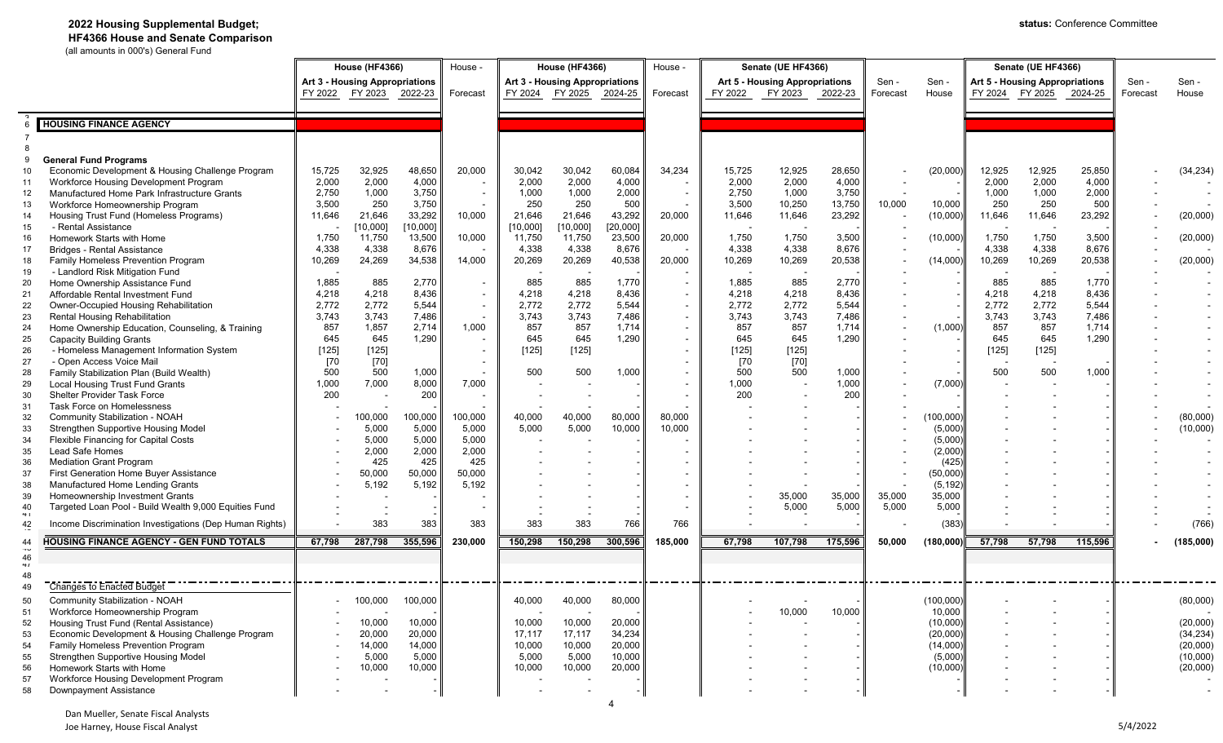### **2022 Housing Supplemental Budget;**

 **HF4366 House and Senate Comparison** (all amounts in 000's) General Fund

| an ambanto in occiono chann |                                                         |         |                          |                 |          |                                |                          |          |                                       |                    |                          |         |                                |            |                    |                          |         |          |           |
|-----------------------------|---------------------------------------------------------|---------|--------------------------|-----------------|----------|--------------------------------|--------------------------|----------|---------------------------------------|--------------------|--------------------------|---------|--------------------------------|------------|--------------------|--------------------------|---------|----------|-----------|
|                             |                                                         |         | <b>House (HF4366)</b>    |                 | House -  | <b>House (HF4366)</b>          |                          |          | House -                               | Senate (UE HF4366) |                          |         |                                |            | Senate (UE HF4366) |                          |         |          |           |
|                             | <b>Art 3 - Housing Appropriations</b>                   |         |                          |                 |          |                                |                          |          |                                       |                    |                          |         |                                |            |                    |                          |         |          |           |
|                             |                                                         |         |                          |                 |          | Art 3 - Housing Appropriations |                          |          | <b>Art 5 - Housing Appropriations</b> |                    | Sen -                    | Sen -   | Art 5 - Housing Appropriations |            |                    | Sen -                    | Sen -   |          |           |
|                             |                                                         |         | FY 2022 FY 2023 2022-23  |                 | Forecast | FY 2024                        | FY 2025 2024-25          |          | Forecast                              | FY 2022            | FY 2023 2022-23          |         | Forecast                       | House      |                    | FY 2024 FY 2025 2024-25  |         | Forecast | House     |
|                             |                                                         |         |                          |                 |          |                                |                          |          |                                       |                    |                          |         |                                |            |                    |                          |         |          |           |
|                             | <b>HOUSING FINANCE AGENCY</b>                           |         |                          |                 |          |                                |                          |          |                                       |                    |                          |         |                                |            |                    |                          |         |          |           |
|                             |                                                         |         |                          |                 |          |                                |                          |          |                                       |                    |                          |         |                                |            |                    |                          |         |          |           |
|                             |                                                         |         |                          |                 |          |                                |                          |          |                                       |                    |                          |         |                                |            |                    |                          |         |          |           |
|                             |                                                         |         |                          |                 |          |                                |                          |          |                                       |                    |                          |         |                                |            |                    |                          |         |          |           |
|                             | <b>General Fund Programs</b>                            |         |                          |                 |          |                                |                          |          |                                       |                    |                          |         |                                |            |                    |                          |         |          |           |
| 10                          | Economic Development & Housing Challenge Program        | 15,725  | 32,925                   | 48,650          | 20,000   | 30,042                         | 30,042                   | 60,084   | 34,234                                | 15,725             | 12,925                   | 28,650  |                                | (20,000)   | 12,925             | 12,925                   | 25,850  |          | (34, 234) |
| 11                          | Workforce Housing Development Program                   | 2,000   | 2,000                    | 4,000           |          | 2,000                          | 2,000                    | 4,000    |                                       | 2,000              | 2,000                    | 4,000   |                                |            | 2,000              | 2,000                    | 4,000   |          |           |
| 12                          | Manufactured Home Park Infrastructure Grants            | 2,750   | 1,000                    | 3,750           | $\sim$   | 1,000                          | 1,000                    | 2,000    |                                       | 2,750              | 1,000                    | 3,750   |                                |            | 1,000              | 1,000                    | 2,000   |          |           |
| 13                          | Workforce Homeownership Program                         | 3,500   | 250                      | 3,750           |          | 250                            | 250                      | 500      |                                       | 3,500              | 10,250                   | 13,750  | 10,000                         | 10,000     | 250                | 250                      | 500     |          |           |
| 14                          | Housing Trust Fund (Homeless Programs)                  | 11,646  | 21,646                   | 33,292          | 10,000   | 21,646                         | 21,646                   | 43,292   | 20,000                                | 11,646             | 11,646                   | 23,292  |                                | (10,000)   | 11,646             | 11,646                   | 23,292  |          | (20,000)  |
| 15                          | - Rental Assistance                                     |         | [10,000]                 | [10,000]        |          | [10,000]                       | [10,000]                 | [20,000] |                                       |                    |                          |         |                                |            |                    |                          |         |          |           |
| 16                          | Homework Starts with Home                               | 1,750   | 11,750                   | 13,500          | 10,000   | 11,750                         | 11,750                   | 23,500   | 20,000                                | 1,750              | 1,750                    | 3,500   |                                | (10,000)   | 1,750              | 1,750                    | 3,500   |          | (20,000)  |
| 17                          | <b>Bridges - Rental Assistance</b>                      | 4,338   | 4,338                    | 8,676           |          | 4,338                          | 4,338                    | 8,676    |                                       | 4,338              | 4,338                    | 8,676   |                                |            | 4,338              | 4,338                    | 8,676   |          |           |
| 18                          | Family Homeless Prevention Program                      | 10,269  | 24,269                   | 34,538          | 14,000   | 20,269                         | 20,269                   | 40,538   | 20,000                                | 10,269             | 10,269                   | 20,538  |                                | (14,000)   | 10,269             | 10,269                   | 20,538  |          | (20,000)  |
| 19                          | - Landlord Risk Mitigation Fund                         |         |                          |                 |          |                                |                          |          |                                       |                    |                          |         |                                |            |                    |                          |         |          |           |
| 20                          | Home Ownership Assistance Fund                          | 1,885   | 885                      | 2,770           | $\sim$   | 885                            | 885                      | 1,770    |                                       | 1,885              | 885                      | 2,770   |                                |            | 885                | 885                      | 1,770   |          |           |
| 21                          | Affordable Rental Investment Fund                       | 4,218   | 4,218                    | 8,436           | $\sim$   | 4,218                          | 4,218                    | 8,436    |                                       | 4,218              | 4,218                    | 8,436   |                                |            | 4,218              | 4,218                    | 8,436   |          |           |
| 22                          | Owner-Occupied Housing Rehabilitation                   | 2,772   | 2,772                    | 5,544           |          | 2,772                          | 2,772                    | 5,544    |                                       | 2,772              | 2,772                    | 5,544   |                                |            | 2,772              | 2,772                    | 5,544   |          |           |
|                             | <b>Rental Housing Rehabilitation</b>                    | 3,743   | 3,743                    | 7,486           |          | 3,743                          | 3,743                    | 7,486    |                                       | 3,743              | 3,743                    | 7,486   |                                |            | 3,743              | 3,743                    | 7,486   |          |           |
| 23                          |                                                         | 857     | 1,857                    | 2,714           | 1,000    | 857                            | 857                      | 1,714    |                                       | 857                | 857                      | 1,714   |                                | (1,000)    | 857                | 857                      | 1,714   |          |           |
| 24                          | Home Ownership Education, Counseling, & Training        |         |                          |                 |          |                                |                          |          |                                       |                    |                          |         |                                |            |                    |                          |         |          |           |
| 25                          | <b>Capacity Building Grants</b>                         | 645     | 645                      | 1,290           | $\sim$   | 645                            | 645                      | 1,290    |                                       | 645                | 645                      | 1,290   |                                |            | 645                | 645                      | 1,290   |          |           |
| 26                          | - Homeless Management Information System                | $[125]$ | $[125]$                  |                 | $\sim$   | $[125]$                        | [125]                    |          |                                       | $[125]$            | $[125]$                  |         |                                |            | $[125]$            | $[125]$                  |         |          |           |
| 27                          | - Open Access Voice Mail                                | [70]    | $[70]$                   |                 | $\sim$   |                                |                          |          |                                       | $[70$              | $[70]$                   |         |                                |            |                    | $\overline{\phantom{a}}$ |         |          |           |
| 28                          | Family Stabilization Plan (Build Wealth)                | 500     | 500                      | 1,000           |          | 500                            | 500                      | 1,000    |                                       | 500                | 500                      | 1,000   |                                |            | 500                | 500                      | 1,000   |          |           |
| 29                          | <b>Local Housing Trust Fund Grants</b>                  | 1,000   | 7,000                    | 8,000           | 7,000    |                                |                          |          |                                       | 1,000              |                          | 1,000   |                                | (7,000)    |                    |                          |         |          |           |
| 30                          | <b>Shelter Provider Task Force</b>                      | 200     |                          | 200             | $\sim$   |                                |                          |          |                                       | 200                |                          | 200     |                                |            |                    |                          |         |          |           |
| 31                          | <b>Task Force on Homelessness</b>                       |         |                          |                 |          |                                |                          |          |                                       |                    |                          |         |                                |            |                    |                          |         |          |           |
| 32                          | Community Stabilization - NOAH                          |         | 100,000                  | 100,000         | 100,000  | 40,000                         | 40,000                   | 80,000   | 80,000                                |                    |                          |         |                                | (100, 000) |                    |                          |         |          | (80,000)  |
| 33                          | Strengthen Supportive Housing Model                     |         | 5,000                    | 5,000           | 5,000    | 5,000                          | 5,000                    | 10,000   | 10,000                                |                    |                          |         |                                | (5,000)    |                    |                          |         |          | (10,000)  |
| 34                          | Flexible Financing for Capital Costs                    |         | 5,000                    | 5,000           | 5,000    |                                |                          |          |                                       |                    |                          |         |                                | (5,000)    |                    |                          |         |          |           |
| 35                          | Lead Safe Homes                                         |         | 2,000                    | 2,000           | 2,000    |                                |                          |          |                                       |                    |                          |         |                                | (2,000)    |                    |                          |         |          |           |
| 36                          | <b>Mediation Grant Program</b>                          |         | 425                      | 425             | 425      |                                |                          |          |                                       |                    |                          |         |                                | (425)      |                    |                          |         |          |           |
| 37                          | First Generation Home Buyer Assistance                  |         | 50,000                   | 50,000          | 50,000   |                                |                          |          |                                       |                    |                          |         |                                | (50,000)   |                    |                          |         |          |           |
| 38                          | Manufactured Home Lending Grants                        |         | 5,192                    | 5,192           | 5,192    |                                |                          |          |                                       |                    |                          |         |                                | (5, 192)   |                    |                          |         |          |           |
| 39                          | Homeownership Investment Grants                         |         |                          |                 |          |                                |                          |          |                                       |                    | 35,000                   | 35,000  | 35,000                         | 35,000     |                    |                          |         |          |           |
| 40                          | Targeted Loan Pool - Build Wealth 9,000 Equities Fund   |         | $\overline{\phantom{a}}$ |                 | $\sim$   |                                |                          |          |                                       |                    | 5,000                    | 5,000   | 5,000                          | 5,000      |                    |                          |         |          |           |
| $+1$                        |                                                         |         |                          |                 |          |                                |                          |          |                                       |                    |                          |         |                                |            |                    |                          |         |          |           |
| 42                          | Income Discrimination Investigations (Dep Human Rights) |         | 383                      | 383             | 383      | 383                            | 383                      | 766      | 766                                   |                    |                          |         |                                | (383)      |                    |                          |         |          | (766)     |
| 44<br>TQ                    | <b>HOUSING FINANCE AGENCY - GEN FUND TOTALS</b>         | 67,798  | 287,798                  | 355,596         | 230,000  | 150,298                        | 150,298                  | 300,596  | 185,000                               | 67,798             | 107,798                  | 175,596 | 50,000                         | (180,000)  | 57,798             | 57,798                   | 115,596 |          | (185,000) |
| 46                          |                                                         |         |                          |                 |          |                                |                          |          |                                       |                    |                          |         |                                |            |                    |                          |         |          |           |
| 41                          |                                                         |         |                          |                 |          |                                |                          |          |                                       |                    |                          |         |                                |            |                    |                          |         |          |           |
| 48                          |                                                         |         |                          |                 |          |                                | ------------------------ |          |                                       |                    | ________________________ |         |                                |            |                    |                          |         |          |           |
| 49                          | Changes to Enacted Budget                               |         |                          |                 |          |                                |                          |          |                                       |                    |                          |         |                                |            |                    |                          |         |          |           |
| 50                          | Community Stabilization - NOAH                          |         |                          | 100,000 100,000 |          | 40,000                         | 40,000                   | 80,000   |                                       |                    |                          |         |                                | (100,000)  |                    |                          |         |          | (80,000)  |
| 51                          | Workforce Homeownership Program                         |         |                          |                 |          |                                |                          |          |                                       |                    | 10,000                   | 10,000  |                                | 10,000     |                    |                          |         |          |           |
| 52                          | Housing Trust Fund (Rental Assistance)                  |         | 10,000                   | 10,000          |          | 10,000                         | 10,000                   | 20,000   |                                       |                    |                          |         |                                | (10,000)   |                    |                          |         |          | (20,000)  |
| 53                          | Economic Development & Housing Challenge Program        |         | 20,000                   | 20,000          |          | 17,117                         | 17,117                   | 34,234   |                                       |                    |                          |         |                                | (20,000)   |                    |                          |         |          | (34, 234) |
| 54                          | Family Homeless Prevention Program                      |         | 14,000                   | 14,000          |          | 10,000                         | 10,000                   | 20,000   |                                       |                    |                          |         |                                | (14,000)   |                    |                          |         |          | (20,000)  |
| 55                          | Strengthen Supportive Housing Model                     |         | 5,000                    | 5,000           |          | 5,000                          | 5,000                    | 10,000   |                                       |                    |                          |         |                                | (5,000)    |                    |                          |         |          | (10,000)  |
| 56                          | Homework Starts with Home                               |         | 10,000                   | 10,000          |          | 10,000                         | 10,000                   | 20,000   |                                       |                    |                          |         |                                | (10,000)   |                    |                          |         |          | (20,000)  |
| 57                          | Workforce Housing Development Program                   |         |                          |                 |          |                                |                          |          |                                       |                    |                          |         |                                |            |                    |                          |         |          |           |
| 58                          | Downpayment Assistance                                  |         |                          |                 |          |                                |                          |          |                                       |                    |                          |         |                                |            |                    |                          |         |          | $\sim$    |

Dan Mueller, Senate Fiscal Analysts Joe Harney, House Fiscal Analyst 5/4/2022

4